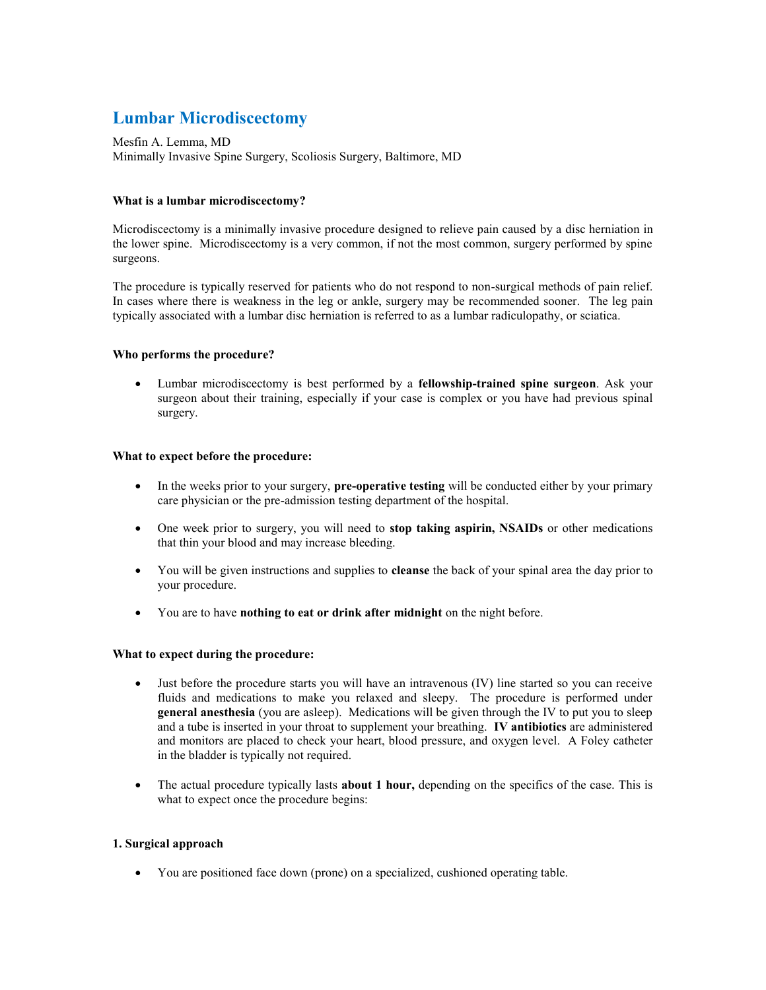# **Lumbar Microdiscectomy**

Mesfin A. Lemma, MD Minimally Invasive Spine Surgery, Scoliosis Surgery, Baltimore, MD

### **What is a lumbar microdiscectomy?**

Microdiscectomy is a minimally invasive procedure designed to relieve pain caused by a disc herniation in the lower spine. Microdiscectomy is a very common, if not the most common, surgery performed by spine surgeons.

The procedure is typically reserved for patients who do not respond to non-surgical methods of pain relief. In cases where there is weakness in the leg or ankle, surgery may be recommended sooner. The leg pain typically associated with a lumbar disc herniation is referred to as a lumbar radiculopathy, or sciatica.

#### **Who performs the procedure?**

 Lumbar microdiscectomy is best performed by a **fellowship-trained spine surgeon**. Ask your surgeon about their training, especially if your case is complex or you have had previous spinal surgery.

#### **What to expect before the procedure:**

- In the weeks prior to your surgery, **pre-operative testing** will be conducted either by your primary care physician or the pre-admission testing department of the hospital.
- One week prior to surgery, you will need to **stop taking aspirin, NSAIDs** or other medications that thin your blood and may increase bleeding.
- You will be given instructions and supplies to **cleanse** the back of your spinal area the day prior to your procedure.
- You are to have **nothing to eat or drink after midnight** on the night before.

#### **What to expect during the procedure:**

- Just before the procedure starts you will have an intravenous (IV) line started so you can receive fluids and medications to make you relaxed and sleepy. The procedure is performed under **general anesthesia** (you are asleep). Medications will be given through the IV to put you to sleep and a tube is inserted in your throat to supplement your breathing. **IV antibiotics** are administered and monitors are placed to check your heart, blood pressure, and oxygen level. A Foley catheter in the bladder is typically not required.
- The actual procedure typically lasts **about 1 hour,** depending on the specifics of the case. This is what to expect once the procedure begins:

## **1. Surgical approach**

You are positioned face down (prone) on a specialized, cushioned operating table.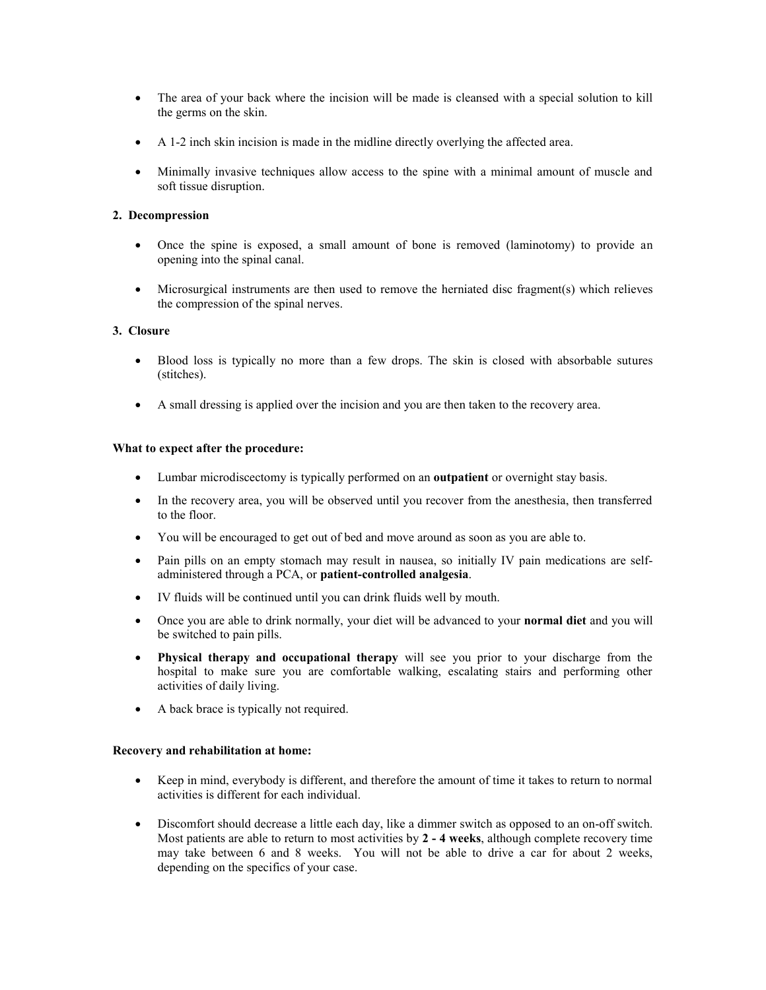- The area of your back where the incision will be made is cleansed with a special solution to kill the germs on the skin.
- A 1-2 inch skin incision is made in the midline directly overlying the affected area.
- Minimally invasive techniques allow access to the spine with a minimal amount of muscle and soft tissue disruption.

## **2. Decompression**

- Once the spine is exposed, a small amount of bone is removed (laminotomy) to provide an opening into the spinal canal.
- Microsurgical instruments are then used to remove the herniated disc fragment(s) which relieves the compression of the spinal nerves.

## **3. Closure**

- Blood loss is typically no more than a few drops. The skin is closed with absorbable sutures (stitches).
- A small dressing is applied over the incision and you are then taken to the recovery area.

## **What to expect after the procedure:**

- Lumbar microdiscectomy is typically performed on an **outpatient** or overnight stay basis.
- In the recovery area, you will be observed until you recover from the anesthesia, then transferred to the floor.
- You will be encouraged to get out of bed and move around as soon as you are able to.
- Pain pills on an empty stomach may result in nausea, so initially IV pain medications are selfadministered through a PCA, or **patient-controlled analgesia**.
- IV fluids will be continued until you can drink fluids well by mouth.
- Once you are able to drink normally, your diet will be advanced to your **normal diet** and you will be switched to pain pills.
- **Physical therapy and occupational therapy** will see you prior to your discharge from the hospital to make sure you are comfortable walking, escalating stairs and performing other activities of daily living.
- A back brace is typically not required.

## **Recovery and rehabilitation at home:**

- Keep in mind, everybody is different, and therefore the amount of time it takes to return to normal activities is different for each individual.
- Discomfort should decrease a little each day, like a dimmer switch as opposed to an on-off switch. Most patients are able to return to most activities by **2 - 4 weeks**, although complete recovery time may take between 6 and 8 weeks. You will not be able to drive a car for about 2 weeks, depending on the specifics of your case.